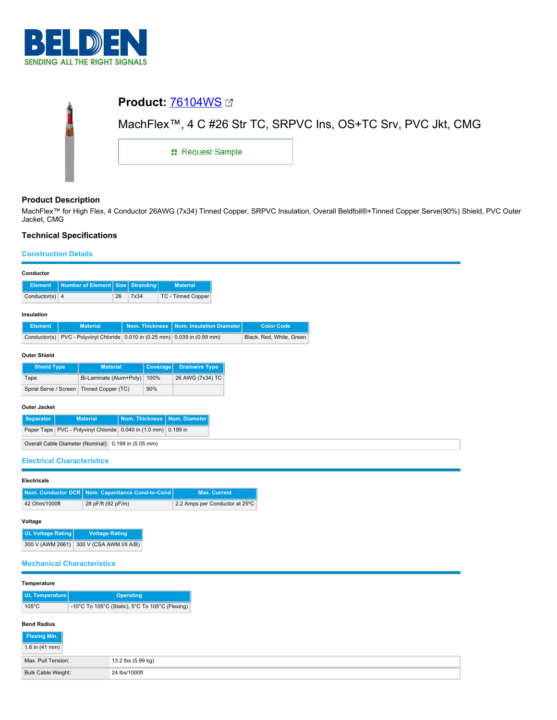

|   | <b>Product: 76104WS 27</b>                                    |  |  |  |  |
|---|---------------------------------------------------------------|--|--|--|--|
| j | MachFlex™, 4 C #26 Str TC, SRPVC Ins, OS+TC Srv, PVC Jkt, CMG |  |  |  |  |
|   | <b>: Request Sample</b>                                       |  |  |  |  |
|   |                                                               |  |  |  |  |

# **Product Description**

MachFlex™ for High Flex, 4 Conductor 26AWG (7x34) Tinned Copper, SRPVC Insulation, Overall Beldfoil®+Tinned Copper Serve(90%) Shield, PVC Outer Jacket, CMG

# **Technical Specifications**

### **Construction Details**

| Conductor                                                                                                       |                                            |                       |                                                                             |                                |                          |
|-----------------------------------------------------------------------------------------------------------------|--------------------------------------------|-----------------------|-----------------------------------------------------------------------------|--------------------------------|--------------------------|
| <b>Element</b>                                                                                                  | <b>Number of Element</b><br><b>Size</b>    | <b>Stranding</b>      | <b>Material</b>                                                             |                                |                          |
| Conductor(s) $ 4$                                                                                               | 26                                         | 7x34                  | TC - Tinned Copper                                                          |                                |                          |
| Insulation                                                                                                      |                                            |                       |                                                                             |                                |                          |
| <b>Element</b>                                                                                                  | <b>Material</b>                            | <b>Nom. Thickness</b> | Nom. Insulation Diameter                                                    |                                | <b>Color Code</b>        |
|                                                                                                                 |                                            |                       | Conductor(s) PVC - Polyvinyl Chloride 0.010 in (0.25 mm) 0.039 in (0.99 mm) |                                | Black, Red, White, Green |
|                                                                                                                 |                                            |                       |                                                                             |                                |                          |
| <b>Outer Shield</b>                                                                                             |                                            |                       |                                                                             |                                |                          |
| <b>Shield Type</b><br>Tape                                                                                      | <b>Material</b><br>Bi-Laminate (Alum+Poly) | 100%                  | Coverage<br><b>Drainwire Type</b><br>26 AWG (7x34) TC                       |                                |                          |
| Spiral Serve / Screen                                                                                           | Tinned Copper (TC)                         | 90%                   |                                                                             |                                |                          |
|                                                                                                                 |                                            |                       |                                                                             |                                |                          |
| <b>Outer Jacket</b>                                                                                             |                                            |                       |                                                                             |                                |                          |
| <b>Separator</b><br>Paper Tape PVC - Polyvinyl Chloride 0.040 in (1.0 mm) 0.199 in                              | <b>Material</b>                            | <b>Nom. Thickness</b> | Nom. Diameter                                                               |                                |                          |
|                                                                                                                 |                                            |                       |                                                                             |                                |                          |
| Overall Cable Diameter (Nominal): 0.199 in (5.05 mm)                                                            |                                            |                       |                                                                             |                                |                          |
| <b>Electrical Characteristics</b>                                                                               |                                            |                       |                                                                             |                                |                          |
|                                                                                                                 |                                            |                       |                                                                             |                                |                          |
| <b>Electricals</b><br>Nom. Conductor DCR   Nom. Capacitance Cond-to-Cond                                        |                                            |                       |                                                                             | <b>Max. Current</b>            |                          |
| 42 Ohm/1000ft                                                                                                   | 28 pF/ft (92 pF/m)                         |                       |                                                                             | 2.2 Amps per Conductor at 25°C |                          |
|                                                                                                                 |                                            |                       |                                                                             |                                |                          |
| Voltage                                                                                                         |                                            |                       |                                                                             |                                |                          |
| <b>UL Voltage Rating</b><br><b>Voltage Rating</b>                                                               |                                            |                       |                                                                             |                                |                          |
| 300 V (AWM 2661) 300 V (CSA AWM I/II A/B)                                                                       |                                            |                       |                                                                             |                                |                          |
| <b>Mechanical Characteristics</b>                                                                               |                                            |                       |                                                                             |                                |                          |
|                                                                                                                 |                                            |                       |                                                                             |                                |                          |
| Temperature                                                                                                     |                                            |                       |                                                                             |                                |                          |
| <b>UL Temperature</b><br><b>Operating</b><br>-10°C To 105°C (Static), 5°C To 105°C (Flexing)<br>$105^{\circ}$ C |                                            |                       |                                                                             |                                |                          |
|                                                                                                                 |                                            |                       |                                                                             |                                |                          |

## **Bend Radius**

| Flexing Min.       |                    |
|--------------------|--------------------|
| 1.6 in $(41$ mm)   |                    |
| Max. Pull Tension: | 13.2 lbs (5.99 kg) |
| Bulk Cable Weight: | 24 lbs/1000ft      |